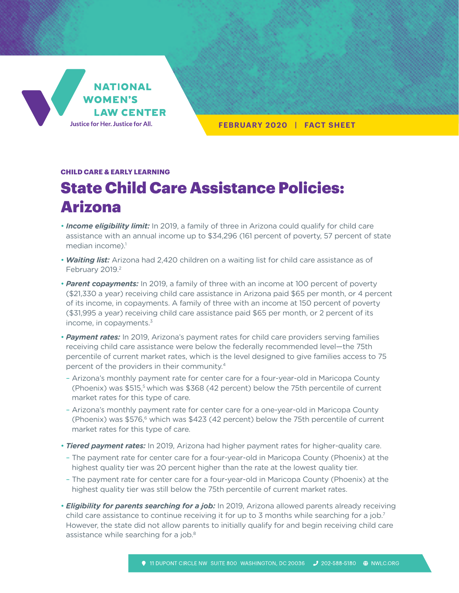

**FEBRUARY 2020 | FACT SHEET**

## **CHILD CARE & EARLY LEARNING**

## State Child Care Assistance Policies: Arizona

- *Income eligibility limit:* In 2019, a family of three in Arizona could qualify for child care assistance with an annual income up to \$34,296 (161 percent of poverty, 57 percent of state median income). $<sup>1</sup>$ </sup>
- *Waiting list:* Arizona had 2,420 children on a waiting list for child care assistance as of February 2019.<sup>2</sup>
- *Parent copayments:* In 2019, a family of three with an income at 100 percent of poverty (\$21,330 a year) receiving child care assistance in Arizona paid \$65 per month, or 4 percent of its income, in copayments. A family of three with an income at 150 percent of poverty (\$31,995 a year) receiving child care assistance paid \$65 per month, or 2 percent of its income, in copayments. $3$
- *Payment rates:* In 2019, Arizona's payment rates for child care providers serving families receiving child care assistance were below the federally recommended level—the 75th percentile of current market rates, which is the level designed to give families access to 75 percent of the providers in their community.4
- Arizona's monthly payment rate for center care for a four-year-old in Maricopa County (Phoenix) was \$515,<sup>5</sup> which was \$368 (42 percent) below the 75th percentile of current market rates for this type of care.
- Arizona's monthly payment rate for center care for a one-year-old in Maricopa County (Phoenix) was  $$576<sub>6</sub>$  which was  $$423$  (42 percent) below the 75th percentile of current market rates for this type of care.
- *Tiered payment rates:* In 2019, Arizona had higher payment rates for higher-quality care.
- The payment rate for center care for a four-year-old in Maricopa County (Phoenix) at the highest quality tier was 20 percent higher than the rate at the lowest quality tier.
- The payment rate for center care for a four-year-old in Maricopa County (Phoenix) at the highest quality tier was still below the 75th percentile of current market rates.
- *Eligibility for parents searching for a job:* In 2019, Arizona allowed parents already receiving child care assistance to continue receiving it for up to 3 months while searching for a job.<sup>7</sup> However, the state did not allow parents to initially qualify for and begin receiving child care assistance while searching for a job.<sup>8</sup>